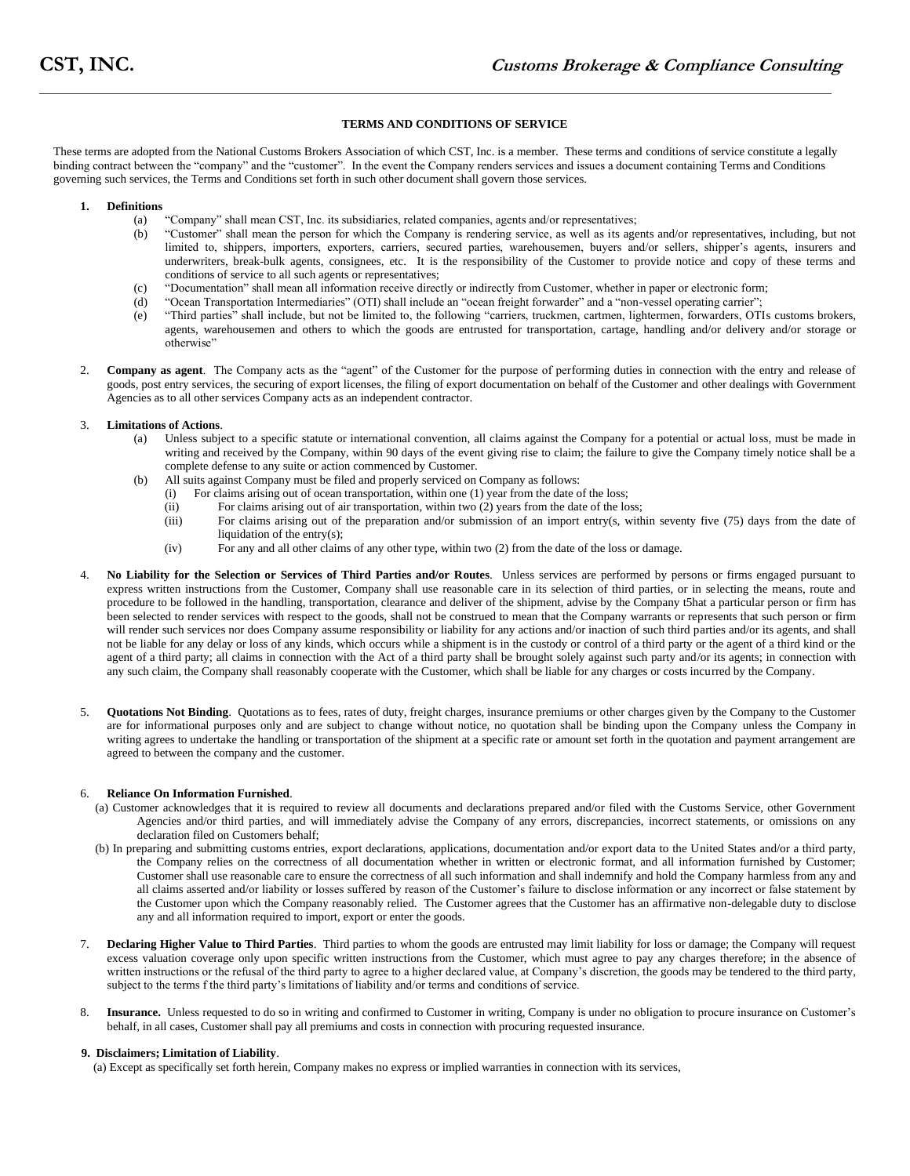# **TERMS AND CONDITIONS OF SERVICE**

These terms are adopted from the National Customs Brokers Association of which CST, Inc. is a member. These terms and conditions of service constitute a legally binding contract between the "company" and the "customer". In the event the Company renders services and issues a document containing Terms and Conditions governing such services, the Terms and Conditions set forth in such other document shall govern those services.

#### **1. Definitions**

- (a) "Company" shall mean CST, Inc. its subsidiaries, related companies, agents and/or representatives;
- (b) "Customer" shall mean the person for which the Company is rendering service, as well as its agents and/or representatives, including, but not limited to, shippers, importers, exporters, carriers, secured parties, warehousemen, buyers and/or sellers, shipper's agents, insurers and underwriters, break-bulk agents, consignees, etc. It is the responsibility of the Customer to provide notice and copy of these terms and conditions of service to all such agents or representatives;
- (c) "Documentation" shall mean all information receive directly or indirectly from Customer, whether in paper or electronic form;
- (d) "Ocean Transportation Intermediaries" (OTI) shall include an "ocean freight forwarder" and a "non-vessel operating carrier";
- (e) "Third parties" shall include, but not be limited to, the following "carriers, truckmen, cartmen, lightermen, forwarders, OTIs customs brokers, agents, warehousemen and others to which the goods are entrusted for transportation, cartage, handling and/or delivery and/or storage or otherwise"
- 2. **Company as agent**. The Company acts as the "agent" of the Customer for the purpose of performing duties in connection with the entry and release of goods, post entry services, the securing of export licenses, the filing of export documentation on behalf of the Customer and other dealings with Government Agencies as to all other services Company acts as an independent contractor.

#### 3. **Limitations of Actions**.

- (a) Unless subject to a specific statute or international convention, all claims against the Company for a potential or actual loss, must be made in writing and received by the Company, within 90 days of the event giving rise to claim; the failure to give the Company timely notice shall be a complete defense to any suite or action commenced by Customer.
- (b) All suits against Company must be filed and properly serviced on Company as follows:
	- (i) For claims arising out of ocean transportation, within one (1) year from the date of the loss;
	- (ii) For claims arising out of air transportation, within two  $(2)$  years from the date of the loss;<br>(iii) For claims arising out of the preparation and/or submission of an import entry(s, with
	- For claims arising out of the preparation and/or submission of an import entry(s, within seventy five (75) days from the date of liquidation of the entry(s);
	- (iv) For any and all other claims of any other type, within two (2) from the date of the loss or damage.
- 4. **No Liability for the Selection or Services of Third Parties and/or Routes**. Unless services are performed by persons or firms engaged pursuant to express written instructions from the Customer, Company shall use reasonable care in its selection of third parties, or in selecting the means, route and procedure to be followed in the handling, transportation, clearance and deliver of the shipment, advise by the Company t5hat a particular person or firm has been selected to render services with respect to the goods, shall not be construed to mean that the Company warrants or represents that such person or firm will render such services nor does Company assume responsibility or liability for any actions and/or inaction of such third parties and/or its agents, and shall not be liable for any delay or loss of any kinds, which occurs while a shipment is in the custody or control of a third party or the agent of a third kind or the agent of a third party; all claims in connection with the Act of a third party shall be brought solely against such party and/or its agents; in connection with any such claim, the Company shall reasonably cooperate with the Customer, which shall be liable for any charges or costs incurred by the Company.
- 5. **Quotations Not Binding**. Quotations as to fees, rates of duty, freight charges, insurance premiums or other charges given by the Company to the Customer are for informational purposes only and are subject to change without notice, no quotation shall be binding upon the Company unless the Company in writing agrees to undertake the handling or transportation of the shipment at a specific rate or amount set forth in the quotation and payment arrangement are agreed to between the company and the customer.

## 6. **Reliance On Information Furnished**.

- (a) Customer acknowledges that it is required to review all documents and declarations prepared and/or filed with the Customs Service, other Government Agencies and/or third parties, and will immediately advise the Company of any errors, discrepancies, incorrect statements, or omissions on any declaration filed on Customers behalf;
- (b) In preparing and submitting customs entries, export declarations, applications, documentation and/or export data to the United States and/or a third party, the Company relies on the correctness of all documentation whether in written or electronic format, and all information furnished by Customer; Customer shall use reasonable care to ensure the correctness of all such information and shall indemnify and hold the Company harmless from any and all claims asserted and/or liability or losses suffered by reason of the Customer's failure to disclose information or any incorrect or false statement by the Customer upon which the Company reasonably relied. The Customer agrees that the Customer has an affirmative non-delegable duty to disclose any and all information required to import, export or enter the goods.
- 7. **Declaring Higher Value to Third Parties**. Third parties to whom the goods are entrusted may limit liability for loss or damage; the Company will request excess valuation coverage only upon specific written instructions from the Customer, which must agree to pay any charges therefore; in the absence of written instructions or the refusal of the third party to agree to a higher declared value, at Company's discretion, the goods may be tendered to the third party, subject to the terms f the third party's limitations of liability and/or terms and conditions of service.
- 8. **Insurance.** Unless requested to do so in writing and confirmed to Customer in writing, Company is under no obligation to procure insurance on Customer's behalf, in all cases, Customer shall pay all premiums and costs in connection with procuring requested insurance.

## **9. Disclaimers; Limitation of Liability**.

(a) Except as specifically set forth herein, Company makes no express or implied warranties in connection with its services,